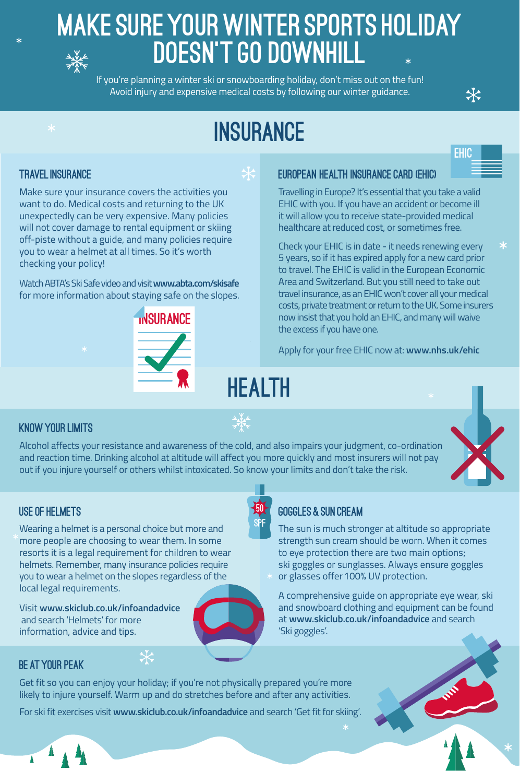### Travel insurance

 $\ast$ 

 $\ast$ 

Make sure your insurance covers the activities you want to do. Medical costs and returning to the UK unexpectedly can be very expensive. Many policies will not cover damage to rental equipment or skiing off-piste without a guide, and many policies require you to wear a helmet at all times. So it's worth checking your policy!

Watch ABTA's Ski Safe video and visit **www.abta.com/skisafe** for more information about staying safe on the slopes.

**INSURANCE** 

### Know your limits

Alcohol affects your resistance and awareness of the cold, and also impairs your judgment, co-ordination and reaction time. Drinking alcohol at altitude will affect you more quickly and most insurers will not pay out if you injure yourself or others whilst intoxicated. So know your limits and don't take the risk.

### European Health Insurance Card (EHIC)

Get fit so you can enjoy your holiday; if you're not physically prepared you're more likely to injure yourself. Warm up and do stretches before and after any activities.

Travelling in Europe? It's essential that you take a valid EHIC with you. If you have an accident or become ill it will allow you to receive state-provided medical healthcare at reduced cost, or sometimes free.

Check your EHIC is in date - it needs renewing every 5 years, so if it has expired apply for a new card prior to travel. The EHIC is valid in the European Economic Area and Switzerland. But you still need to take out travel insurance, as an EHIC won't cover all your medical costs, private treatment or return to the UK. Some insurers

### Make sure your WINTER SPORTS holiday doesn't go downhill  $\frac{1}{\sqrt{\frac{1}{2}}}\frac{1}{\sqrt{\frac{1}{2}}}\frac{1}{\sqrt{\frac{1}{2}}}\frac{1}{\sqrt{\frac{1}{2}}}\frac{1}{\sqrt{\frac{1}{2}}}\frac{1}{\sqrt{\frac{1}{2}}}\frac{1}{\sqrt{\frac{1}{2}}}\frac{1}{\sqrt{\frac{1}{2}}}\frac{1}{\sqrt{\frac{1}{2}}}\frac{1}{\sqrt{\frac{1}{2}}}\frac{1}{\sqrt{\frac{1}{2}}}\frac{1}{\sqrt{\frac{1}{2}}}\frac{1}{\sqrt{\frac{1}{2}}}\frac{1}{\sqrt{\frac{1}{2}}}\frac{1}{\sqrt{\frac{1}{2}}}\frac{1}{\sqrt{\frac{$

now insist that you hold an EHIC, and many will waive the excess if you have one.

Apply for your free EHIC now at: **www.nhs.uk/ehic**

### Be at your peak

For ski fit exercises visit **www.skiclub.co.uk/infoandadvice** and search 'Get fit for skiing'.

### Goggles & Sun cream

The sun is much stronger at altitude so appropriate strength sun cream should be worn. When it comes to eye protection there are two main options; ski goggles or sunglasses. Always ensure goggles or glasses offer 100% UV protection.

A comprehensive guide on appropriate eye wear, ski and snowboard clothing and equipment can be found at **www.skiclub.co.uk/infoandadvice** and search





'Ski goggles'.

 $\ast$ 

# insurance

 $\frac{1}{\sqrt{2}}$ 

HEALTH



 $\frac{1}{\sqrt{2}}$ 

**EHIC** 

 $\ast$ 

### Use of helmets

Wearing a helmet is a personal choice but more and more people are choosing to wear them. In some resorts it is a legal requirement for children to wear helmets. Remember, many insurance policies require you to wear a helmet on the slopes regardless of the local legal requirements.

 $\frac{1}{\sqrt{2}}$ 

Visit **www.skiclub.co.uk/infoandadvice** and search 'Helmets' for more

#### information, advice and tips.



If you're planning a winter ski or snowboarding holiday, don't miss out on the fun! Avoid injury and expensive medical costs by following our winter guidance.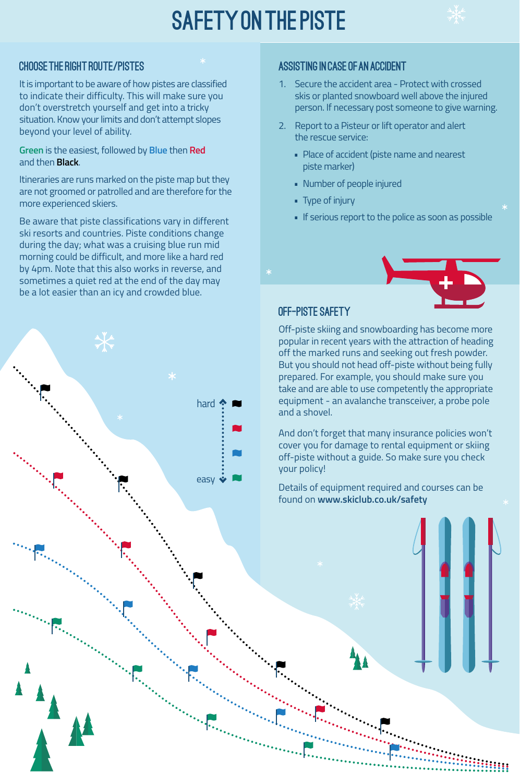Choose the right route/pistes

# SAFETY ON THE PISTE



It is important to be aware of how pistes are classified to indicate their difficulty. This will make sure you don't overstretch yourself and get into a tricky situation. Know your limits and don't attempt slopes beyond your level of ability.

**Green** is the easiest, followed by **Blue** then **Red** and then **Black**.

Itineraries are runs marked on the piste map but they are not groomed or patrolled and are therefore for the more experienced skiers.

- 1. Secure the accident area Protect with crossed skis or planted snowboard well above the injured person. If necessary post someone to give warning.
- Report to a Pisteur or lift operator and alert the rescue service:
	- Place of accident (piste name and nearest piste marker)
	- • Number of people injured
	- Type of injury
	- **•** If serious report to the police as soon as possible

Be aware that piste classifications vary in different ski resorts and countries. Piste conditions change during the day; what was a cruising blue run mid morning could be difficult, and more like a hard red by 4pm. Note that this also works in reverse, and sometimes a quiet red at the end of the day may be a lot easier than an icy and crowded blue.

### Assisting in case of an accident

#### OFF-PISTE SAFETY

Off-piste skiing and snowboarding has become more popular in recent years with the attraction of heading off the marked runs and seeking out fresh powder. But you should not head off-piste without being fully prepared. For example, you should make sure you take and are able to use competently the appropriate equipment - an avalanche transceiver, a probe pole and a shovel.

And don't forget that many insurance policies won't cover you for damage to rental equipment or skiing off-piste without a guide. So make sure you check your policy!

Details of equipment required and courses can be found on **www.skiclub.co.uk/safety**